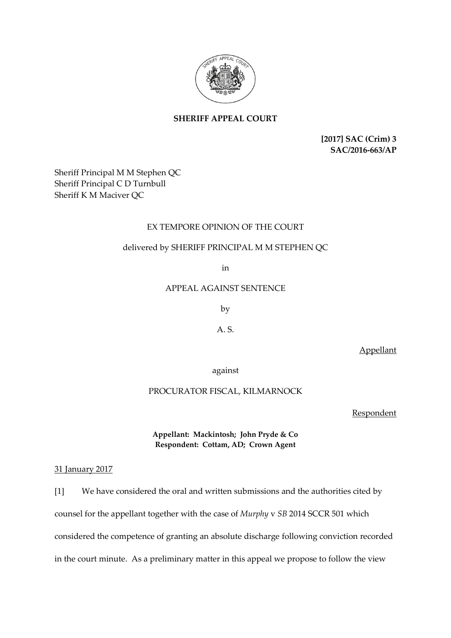

# **SHERIFF APPEAL COURT**

**[2017] SAC (Crim) 3 SAC/2016-663/AP**

Sheriff Principal M M Stephen QC Sheriff Principal C D Turnbull Sheriff K M Maciver QC

## EX TEMPORE OPINION OF THE COURT

## delivered by SHERIFF PRINCIPAL M M STEPHEN QC

in

APPEAL AGAINST SENTENCE

by

A. S.

Appellant

against

### PROCURATOR FISCAL, KILMARNOCK

**Respondent** 

## **Appellant: Mackintosh; John Pryde & Co Respondent: Cottam, AD; Crown Agent**

#### 31 January 2017

[1] We have considered the oral and written submissions and the authorities cited by counsel for the appellant together with the case of *Murphy* v *SB* 2014 SCCR 501 which considered the competence of granting an absolute discharge following conviction recorded in the court minute. As a preliminary matter in this appeal we propose to follow the view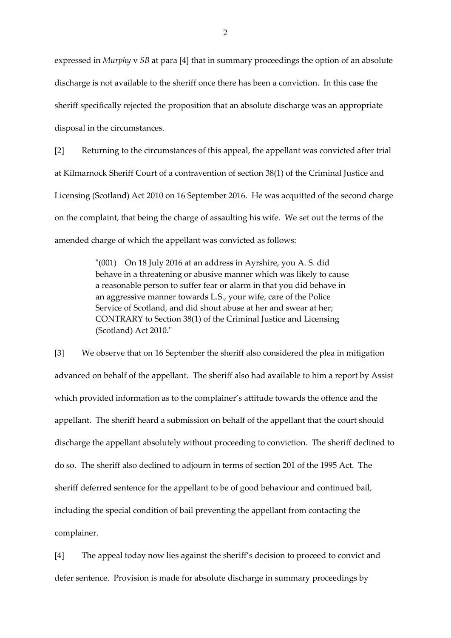expressed in *Murphy* v *SB* at para [4] that in summary proceedings the option of an absolute discharge is not available to the sheriff once there has been a conviction. In this case the sheriff specifically rejected the proposition that an absolute discharge was an appropriate disposal in the circumstances.

[2] Returning to the circumstances of this appeal, the appellant was convicted after trial at Kilmarnock Sheriff Court of a contravention of section 38(1) of the Criminal Justice and Licensing (Scotland) Act 2010 on 16 September 2016. He was acquitted of the second charge on the complaint, that being the charge of assaulting his wife. We set out the terms of the amended charge of which the appellant was convicted as follows:

> "(001) On 18 July 2016 at an address in Ayrshire, you A. S. did behave in a threatening or abusive manner which was likely to cause a reasonable person to suffer fear or alarm in that you did behave in an aggressive manner towards L.S., your wife, care of the Police Service of Scotland, and did shout abuse at her and swear at her; CONTRARY to Section 38(1) of the Criminal Justice and Licensing (Scotland) Act 2010."

[3] We observe that on 16 September the sheriff also considered the plea in mitigation advanced on behalf of the appellant. The sheriff also had available to him a report by Assist which provided information as to the complainer's attitude towards the offence and the appellant. The sheriff heard a submission on behalf of the appellant that the court should discharge the appellant absolutely without proceeding to conviction. The sheriff declined to do so. The sheriff also declined to adjourn in terms of section 201 of the 1995 Act. The sheriff deferred sentence for the appellant to be of good behaviour and continued bail, including the special condition of bail preventing the appellant from contacting the complainer.

[4] The appeal today now lies against the sheriff's decision to proceed to convict and defer sentence. Provision is made for absolute discharge in summary proceedings by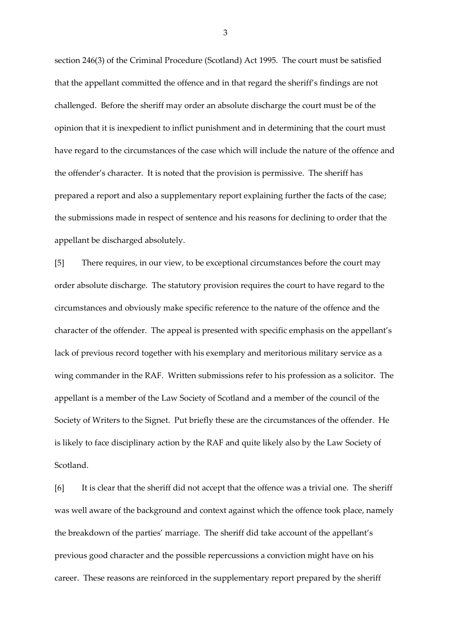section 246(3) of the Criminal Procedure (Scotland) Act 1995. The court must be satisfied that the appellant committed the offence and in that regard the sheriff's findings are not challenged. Before the sheriff may order an absolute discharge the court must be of the opinion that it is inexpedient to inflict punishment and in determining that the court must have regard to the circumstances of the case which will include the nature of the offence and the offender's character. It is noted that the provision is permissive. The sheriff has prepared a report and also a supplementary report explaining further the facts of the case; the submissions made in respect of sentence and his reasons for declining to order that the appellant be discharged absolutely.

[5] There requires, in our view, to be exceptional circumstances before the court may order absolute discharge. The statutory provision requires the court to have regard to the circumstances and obviously make specific reference to the nature of the offence and the character of the offender. The appeal is presented with specific emphasis on the appellant's lack of previous record together with his exemplary and meritorious military service as a wing commander in the RAF. Written submissions refer to his profession as a solicitor. The appellant is a member of the Law Society of Scotland and a member of the council of the Society of Writers to the Signet. Put briefly these are the circumstances of the offender. He is likely to face disciplinary action by the RAF and quite likely also by the Law Society of Scotland.

[6] It is clear that the sheriff did not accept that the offence was a trivial one. The sheriff was well aware of the background and context against which the offence took place, namely the breakdown of the parties' marriage. The sheriff did take account of the appellant's previous good character and the possible repercussions a conviction might have on his career. These reasons are reinforced in the supplementary report prepared by the sheriff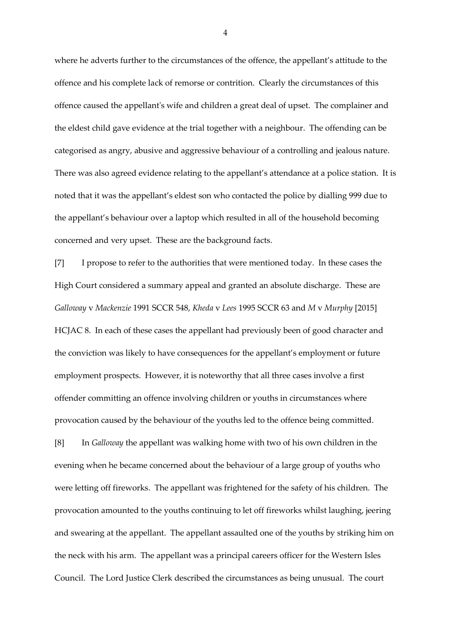where he adverts further to the circumstances of the offence, the appellant's attitude to the offence and his complete lack of remorse or contrition. Clearly the circumstances of this offence caused the appellant's wife and children a great deal of upset. The complainer and the eldest child gave evidence at the trial together with a neighbour. The offending can be categorised as angry, abusive and aggressive behaviour of a controlling and jealous nature. There was also agreed evidence relating to the appellant's attendance at a police station. It is noted that it was the appellant's eldest son who contacted the police by dialling 999 due to the appellant's behaviour over a laptop which resulted in all of the household becoming concerned and very upset. These are the background facts.

[7] I propose to refer to the authorities that were mentioned today. In these cases the High Court considered a summary appeal and granted an absolute discharge. These are *Galloway* v *Mackenzie* 1991 SCCR 548, *Kheda* v *Lees* 1995 SCCR 63 and *M* v *Murphy* [2015] HCJAC 8. In each of these cases the appellant had previously been of good character and the conviction was likely to have consequences for the appellant's employment or future employment prospects. However, it is noteworthy that all three cases involve a first offender committing an offence involving children or youths in circumstances where provocation caused by the behaviour of the youths led to the offence being committed.

[8] In *Galloway* the appellant was walking home with two of his own children in the evening when he became concerned about the behaviour of a large group of youths who were letting off fireworks. The appellant was frightened for the safety of his children. The provocation amounted to the youths continuing to let off fireworks whilst laughing, jeering and swearing at the appellant. The appellant assaulted one of the youths by striking him on the neck with his arm. The appellant was a principal careers officer for the Western Isles Council. The Lord Justice Clerk described the circumstances as being unusual. The court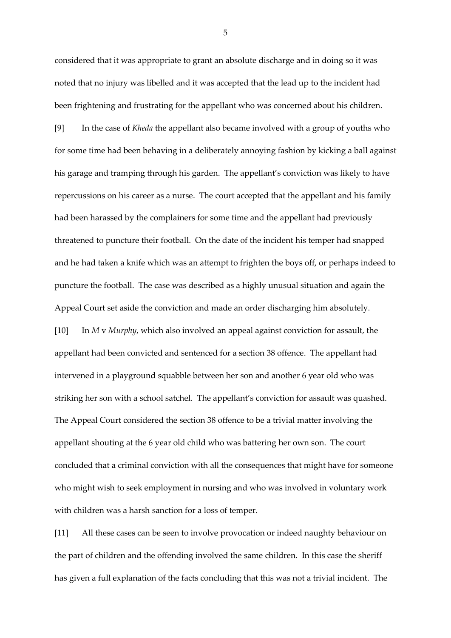considered that it was appropriate to grant an absolute discharge and in doing so it was noted that no injury was libelled and it was accepted that the lead up to the incident had been frightening and frustrating for the appellant who was concerned about his children.

[9] In the case of *Kheda* the appellant also became involved with a group of youths who for some time had been behaving in a deliberately annoying fashion by kicking a ball against his garage and tramping through his garden. The appellant's conviction was likely to have repercussions on his career as a nurse. The court accepted that the appellant and his family had been harassed by the complainers for some time and the appellant had previously threatened to puncture their football. On the date of the incident his temper had snapped and he had taken a knife which was an attempt to frighten the boys off, or perhaps indeed to puncture the football. The case was described as a highly unusual situation and again the Appeal Court set aside the conviction and made an order discharging him absolutely.

[10] In *M* v *Murphy*, which also involved an appeal against conviction for assault, the appellant had been convicted and sentenced for a section 38 offence. The appellant had intervened in a playground squabble between her son and another 6 year old who was striking her son with a school satchel. The appellant's conviction for assault was quashed. The Appeal Court considered the section 38 offence to be a trivial matter involving the appellant shouting at the 6 year old child who was battering her own son. The court concluded that a criminal conviction with all the consequences that might have for someone who might wish to seek employment in nursing and who was involved in voluntary work with children was a harsh sanction for a loss of temper.

[11] All these cases can be seen to involve provocation or indeed naughty behaviour on the part of children and the offending involved the same children. In this case the sheriff has given a full explanation of the facts concluding that this was not a trivial incident. The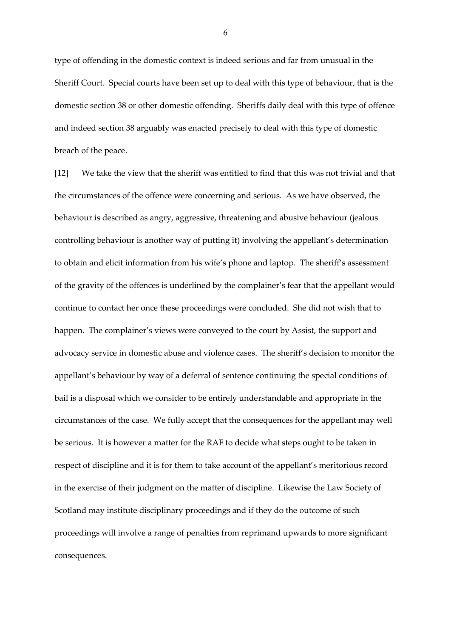type of offending in the domestic context is indeed serious and far from unusual in the Sheriff Court. Special courts have been set up to deal with this type of behaviour, that is the domestic section 38 or other domestic offending. Sheriffs daily deal with this type of offence and indeed section 38 arguably was enacted precisely to deal with this type of domestic breach of the peace.

[12] We take the view that the sheriff was entitled to find that this was not trivial and that the circumstances of the offence were concerning and serious. As we have observed, the behaviour is described as angry, aggressive, threatening and abusive behaviour (jealous controlling behaviour is another way of putting it) involving the appellant's determination to obtain and elicit information from his wife's phone and laptop. The sheriff's assessment of the gravity of the offences is underlined by the complainer's fear that the appellant would continue to contact her once these proceedings were concluded. She did not wish that to happen. The complainer's views were conveyed to the court by Assist, the support and advocacy service in domestic abuse and violence cases. The sheriff's decision to monitor the appellant's behaviour by way of a deferral of sentence continuing the special conditions of bail is a disposal which we consider to be entirely understandable and appropriate in the circumstances of the case. We fully accept that the consequences for the appellant may well be serious. It is however a matter for the RAF to decide what steps ought to be taken in respect of discipline and it is for them to take account of the appellant's meritorious record in the exercise of their judgment on the matter of discipline. Likewise the Law Society of Scotland may institute disciplinary proceedings and if they do the outcome of such proceedings will involve a range of penalties from reprimand upwards to more significant consequences.